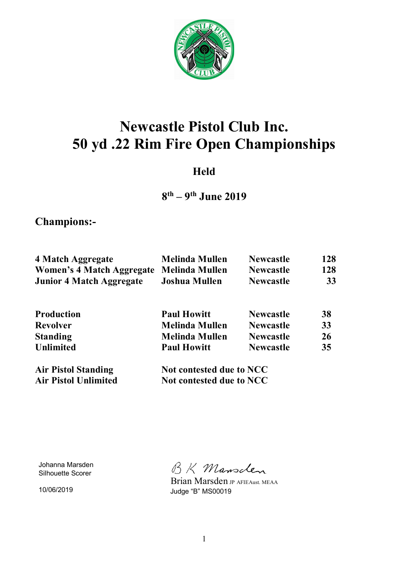

# **Newcastle Pistol Club Inc. 50 yd .22 Rim Fire Open Championships**

### **Held**

## **8 th – 9th June 2019**

**Champions:-** 

| 4 Match Aggregate                        | <b>Melinda Mullen</b> | <b>Newcastle</b> | 128       |
|------------------------------------------|-----------------------|------------------|-----------|
| Women's 4 Match Aggregate Melinda Mullen |                       | <b>Newcastle</b> | 128       |
| <b>Junior 4 Match Aggregate</b>          | <b>Joshua Mullen</b>  | <b>Newcastle</b> | <b>33</b> |
|                                          |                       |                  |           |
|                                          |                       |                  |           |

| <b>Production</b>          | <b>Paul Howitt</b>       | <b>Newcastle</b> | 38        |
|----------------------------|--------------------------|------------------|-----------|
| <b>Revolver</b>            | <b>Melinda Mullen</b>    | <b>Newcastle</b> | 33        |
| <b>Standing</b>            | <b>Melinda Mullen</b>    | <b>Newcastle</b> | <b>26</b> |
| <b>Unlimited</b>           | <b>Paul Howitt</b>       | <b>Newcastle</b> | 35        |
| <b>Air Pistol Standing</b> | Not contested due to NCC |                  |           |

Air Pistol Unlimited Not contested due to NCC

Johanna Marsden Silhouette Scorer

10/06/2019

BK Mansclen

 Brian Marsden JP AFIEAust. MEAA Judge "B" MS00019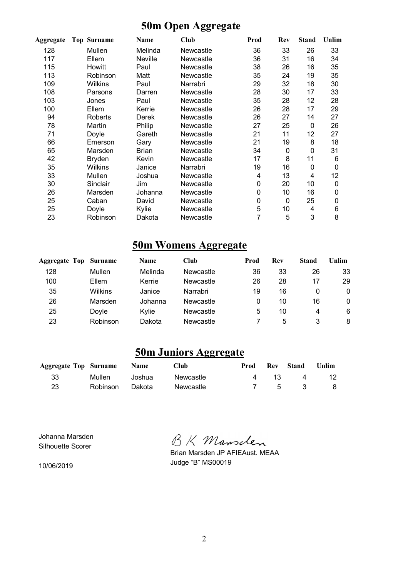### **50m Open Aggregate**

| Aggregate | <b>Top Surname</b> | Name         | Club      | Prod | Rev | <b>Stand</b> | Unlim |
|-----------|--------------------|--------------|-----------|------|-----|--------------|-------|
| 128       | Mullen             | Melinda      | Newcastle | 36   | 33  | 26           | 33    |
| 117       | Ellem              | Neville      | Newcastle | 36   | 31  | 16           | 34    |
| 115       | Howitt             | Paul         | Newcastle | 38   | 26  | 16           | 35    |
| 113       | Robinson           | Matt         | Newcastle | 35   | 24  | 19           | 35    |
| 109       | Wilkins            | Paul         | Narrabri  | 29   | 32  | 18           | 30    |
| 108       | Parsons            | Darren       | Newcastle | 28   | 30  | 17           | 33    |
| 103       | Jones              | Paul         | Newcastle | 35   | 28  | 12           | 28    |
| 100       | Ellem              | Kerrie       | Newcastle | 26   | 28  | 17           | 29    |
| 94        | Roberts            | Derek        | Newcastle | 26   | 27  | 14           | 27    |
| 78        | Martin             | Philip       | Newcastle | 27   | 25  | 0            | 26    |
| 71        | Doyle              | Gareth       | Newcastle | 21   | 11  | 12           | 27    |
| 66        | Emerson            | Gary         | Newcastle | 21   | 19  | 8            | 18    |
| 65        | Marsden            | <b>Brian</b> | Newcastle | 34   | 0   | 0            | 31    |
| 42        | <b>Bryden</b>      | Kevin        | Newcastle | 17   | 8   | 11           | 6     |
| 35        | Wilkins            | Janice       | Narrabri  | 19   | 16  | 0            | 0     |
| 33        | Mullen             | Joshua       | Newcastle | 4    | 13  | 4            | 12    |
| 30        | Sinclair           | Jim          | Newcastle | 0    | 20  | 10           | 0     |
| 26        | Marsden            | Johanna      | Newcastle | 0    | 10  | 16           | 0     |
| 25        | Caban              | David        | Newcastle | 0    | 0   | 25           | 0     |
| 25        | Doyle              | Kylie        | Newcastle | 5    | 10  | 4            | 6     |
| 23        | Robinson           | Dakota       | Newcastle | 7    | 5   | 3            | 8     |

### **50m Womens Aggregate**

| <b>Aggregate Top Surname</b> |                | <b>Name</b> | Club      | Prod | Rev | Stand | Unlim |
|------------------------------|----------------|-------------|-----------|------|-----|-------|-------|
| 128                          | Mullen         | Melinda     | Newcastle | 36   | 33  | 26    | 33    |
| 100                          | Ellem          | Kerrie      | Newcastle | 26   | 28  | 17    | 29    |
| 35                           | <b>Wilkins</b> | Janice      | Narrabri  | 19   | 16  | 0     | 0     |
| 26                           | Marsden        | Johanna     | Newcastle | 0    | 10  | 16    | 0     |
| 25                           | Dovle          | Kvlie       | Newcastle | 5    | 10  | 4     | 6     |
| 23                           | Robinson       | Dakota      | Newcastle |      | 5   |       | 8     |

### **50m Juniors Aggregate**

| <b>Aggregate Top Surname</b> Name |                 |          | <b>Club</b> | Prod |      | <b>Rev Stand</b> | Unlim |
|-----------------------------------|-----------------|----------|-------------|------|------|------------------|-------|
| 33                                | Mullen          | .Joshua. | Newcastle   |      | 4 13 | $\overline{4}$   | 12    |
| 23                                | Robinson Dakota |          | Newcastle   |      |      | 7 5 3 8          |       |

Johanna Marsden Silhouette Scorer

10/06/2019

BK Mansclen

Brian Marsden JP AFIEAust. MEAA Judge "B" MS00019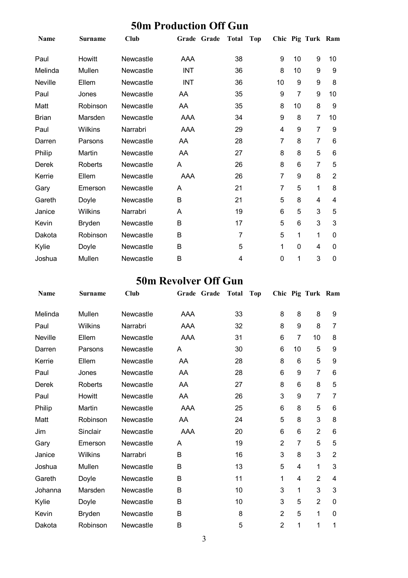|              | <b>SUM Production Off Gun</b> |             |             |           |    |    |                   |    |  |  |  |
|--------------|-------------------------------|-------------|-------------|-----------|----|----|-------------------|----|--|--|--|
| <b>Name</b>  | <b>Surname</b>                | <b>Club</b> | Grade Grade | Total Top |    |    | Chic Pig Turk Ram |    |  |  |  |
| Paul         | Howitt                        | Newcastle   | AAA         | 38        | 9  | 10 | 9                 | 10 |  |  |  |
| Melinda      | Mullen                        | Newcastle   | <b>INT</b>  | 36        | 8  | 10 | 9                 | 9  |  |  |  |
| Neville      | Ellem                         | Newcastle   | <b>INT</b>  | 36        | 10 | 9  | 9                 | 8  |  |  |  |
| Paul         | Jones                         | Newcastle   | AA          | 35        | 9  |    | 9                 | 10 |  |  |  |
| Matt         | Robinson                      | Newcastle   | AA          | 35        | 8  | 10 | 8                 | 9  |  |  |  |
| <b>Brian</b> | Marsden                       | Newcastle   | AAA         | 34        | 9  | 8  |                   | 10 |  |  |  |
|              |                               |             |             |           |    |    |                   |    |  |  |  |

Paul Wilkins Narrabri AAA 29 4 9 7 9 Darren Parsons Newcastle AA 28 7 8 7 6 Philip Martin Newcastle AA 27 8 8 5 6 Derek Roberts Newcastle A 26 8 6 7 5 Kerrie Ellem Newcastle AAA 26 7 9 8 2 Gary Emerson Newcastle A 21 7 5 1 8 Gareth Doyle Newcastle B 21 5 8 4 4 Janice Wilkins Narrabri A 19 6 5 3 5 Kevin Bryden Newcastle B 17 5 6 3 3 Dakota Robinson Newcastle B 7 5 1 1 0 Kylie Doyle Newcastle B 5 1 0 4 0 Joshua Mullen Newcastle B 4 0 1 3 0

### **50m Production Off Gun**

#### **50m Revolver Off Gun**

| Name         | <b>Surname</b> | <b>Club</b> | Grade Grade | <b>Total</b> | <b>Top</b> |                 |                | Chic Pig Turk Ram |                         |
|--------------|----------------|-------------|-------------|--------------|------------|-----------------|----------------|-------------------|-------------------------|
| Melinda      | Mullen         | Newcastle   | AAA         | 33           |            | 8               | 8              | 8                 | 9                       |
| Paul         | Wilkins        | Narrabri    | AAA         | 32           |            | 8               | 9              | 8                 | 7                       |
| Neville      | Ellem          | Newcastle   | AAA         | 31           |            | $6\phantom{1}6$ | $\overline{7}$ | 10                | 8                       |
| Darren       | Parsons        | Newcastle   | A           | 30           |            | 6               | 10             | 5                 | 9                       |
| Kerrie       | Ellem          | Newcastle   | AA          | 28           |            | 8               | 6              | 5                 | 9                       |
| Paul         | Jones          | Newcastle   | AA          | 28           |            | 6               | 9              | 7                 | 6                       |
| <b>Derek</b> | <b>Roberts</b> | Newcastle   | AA          | 27           |            | 8               | 6              | 8                 | 5                       |
| Paul         | Howitt         | Newcastle   | AA          | 26           |            | 3               | 9              | 7                 | 7                       |
| Philip       | Martin         | Newcastle   | AAA         | 25           |            | $6\phantom{1}6$ | 8              | 5                 | 6                       |
| Matt         | Robinson       | Newcastle   | AA          | 24           |            | 5               | 8              | 3                 | 8                       |
| Jim          | Sinclair       | Newcastle   | AAA         | 20           |            | 6               | 6              | $\overline{2}$    | 6                       |
| Gary         | Emerson        | Newcastle   | A           | 19           |            | $\overline{2}$  | $\overline{7}$ | 5                 | 5                       |
| Janice       | Wilkins        | Narrabri    | B           | 16           |            | 3               | 8              | 3                 | $\overline{2}$          |
| Joshua       | Mullen         | Newcastle   | B           | 13           |            | 5               | 4              | 1                 | 3                       |
| Gareth       | Doyle          | Newcastle   | B           | 11           |            | 1               | 4              | $\overline{2}$    | $\overline{\mathbf{4}}$ |
| Johanna      | Marsden        | Newcastle   | B           | 10           |            | 3               | 1              | 3                 | 3                       |
| Kylie        | Doyle          | Newcastle   | B           | 10           |            | 3               | 5              | $\overline{2}$    | 0                       |
| Kevin        | <b>Bryden</b>  | Newcastle   | B           | 8            |            | $\overline{2}$  | 5              | 1                 | 0                       |
| Dakota       | Robinson       | Newcastle   | B           | 5            |            | $\overline{2}$  | 1              | 1                 | 1                       |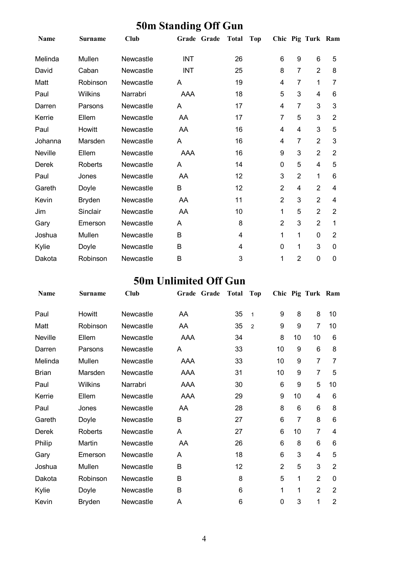| $\sim$ one standing |                |             |             |       |                |                |                   |                |
|---------------------|----------------|-------------|-------------|-------|----------------|----------------|-------------------|----------------|
| Name                | <b>Surname</b> | <b>Club</b> | Grade Grade | Total | <b>Top</b>     |                | Chic Pig Turk Ram |                |
| Melinda             | Mullen         | Newcastle   | <b>INT</b>  | 26    | 6              | 9              | 6                 | 5              |
| David               | Caban          | Newcastle   | <b>INT</b>  | 25    | 8              | $\overline{7}$ | $\overline{2}$    | 8              |
| Matt                | Robinson       | Newcastle   | A           | 19    | 4              | $\overline{7}$ | 1                 | 7              |
| Paul                | <b>Wilkins</b> | Narrabri    | AAA         | 18    | 5              | 3              | 4                 | 6              |
| Darren              | Parsons        | Newcastle   | A           | 17    | 4              | $\overline{7}$ | 3                 | 3              |
| Kerrie              | Ellem          | Newcastle   | AA          | 17    | 7              | 5              | 3                 | $\overline{2}$ |
| Paul                | Howitt         | Newcastle   | AA          | 16    | 4              | 4              | 3                 | 5              |
| Johanna             | Marsden        | Newcastle   | A           | 16    | 4              | 7              | $\overline{2}$    | 3              |
| Neville             | Ellem          | Newcastle   | AAA         | 16    | 9              | 3              | $\overline{2}$    | $\overline{2}$ |
| Derek               | Roberts        | Newcastle   | A           | 14    | 0              | 5              | 4                 | 5              |
| Paul                | Jones          | Newcastle   | AA          | 12    | 3              | $\overline{2}$ | 1                 | 6              |
| Gareth              | Doyle          | Newcastle   | B           | 12    | $\overline{2}$ | 4              | $\overline{2}$    | 4              |
| Kevin               | <b>Bryden</b>  | Newcastle   | AA          | 11    | $\overline{2}$ | 3              | $\overline{2}$    | $\overline{4}$ |
| Jim                 | Sinclair       | Newcastle   | AA          | 10    | 1              | 5              | $\overline{2}$    | $\overline{2}$ |
| Gary                | Emerson        | Newcastle   | A           | 8     | 2              | 3              | $\overline{2}$    | 1              |
| Joshua              | Mullen         | Newcastle   | B           | 4     | 1              | 1              | $\mathbf 0$       | $\overline{2}$ |
| Kylie               | Doyle          | Newcastle   | B           | 4     | 0              | 1              | 3                 | 0              |
| Dakota              | Robinson       | Newcastle   | B           | 3     | 1              | $\overline{2}$ | $\mathbf 0$       | 0              |

### **50m Standing Off Gun**

### **50m Unlimited Off Gun**

| <b>Name</b>  | <b>Surname</b> | <b>Club</b> | Grade Grade | <b>Total</b> | Top            |                |                | Chic Pig Turk Ram |                |
|--------------|----------------|-------------|-------------|--------------|----------------|----------------|----------------|-------------------|----------------|
| Paul         | Howitt         | Newcastle   | AA          | 35           | $\mathbf{1}$   | 9              | 8              | 8                 | 10             |
| Matt         | Robinson       | Newcastle   | AA          | 35           | $\overline{2}$ | 9              | 9              | 7                 | 10             |
| Neville      | Ellem          | Newcastle   | AAA         | 34           |                | 8              | 10             | 10                | 6              |
| Darren       | Parsons        | Newcastle   | A           | 33           |                | 10             | 9              | 6                 | 8              |
| Melinda      | Mullen         | Newcastle   | AAA         | 33           |                | 10             | 9              | 7                 | 7              |
| <b>Brian</b> | Marsden        | Newcastle   | AAA         | 31           |                | 10             | 9              | 7                 | 5              |
| Paul         | <b>Wilkins</b> | Narrabri    | AAA         | 30           |                | 6              | 9              | 5                 | 10             |
| Kerrie       | Ellem          | Newcastle   | AAA         | 29           |                | 9              | 10             | 4                 | 6              |
| Paul         | Jones          | Newcastle   | AA          | 28           |                | 8              | $6\phantom{1}$ | 6                 | 8              |
| Gareth       | Doyle          | Newcastle   | B           | 27           |                | 6              | 7              | 8                 | 6              |
| Derek        | <b>Roberts</b> | Newcastle   | A           | 27           |                | 6              | 10             | $\overline{7}$    | 4              |
| Philip       | Martin         | Newcastle   | AA          | 26           |                | 6              | 8              | 6                 | 6              |
| Gary         | Emerson        | Newcastle   | A           | 18           |                | 6              | 3              | $\overline{4}$    | 5              |
| Joshua       | Mullen         | Newcastle   | B           | 12           |                | $\overline{2}$ | 5              | 3                 | $\overline{2}$ |
| Dakota       | Robinson       | Newcastle   | B           | 8            |                | 5              | 1              | $\overline{2}$    | $\mathbf{0}$   |
| Kylie        | Doyle          | Newcastle   | B           | 6            |                | 1              | 1              | $\overline{2}$    | $\overline{2}$ |
| Kevin        | <b>Bryden</b>  | Newcastle   | A           | 6            |                | $\mathbf 0$    | 3              | 1                 | $\overline{2}$ |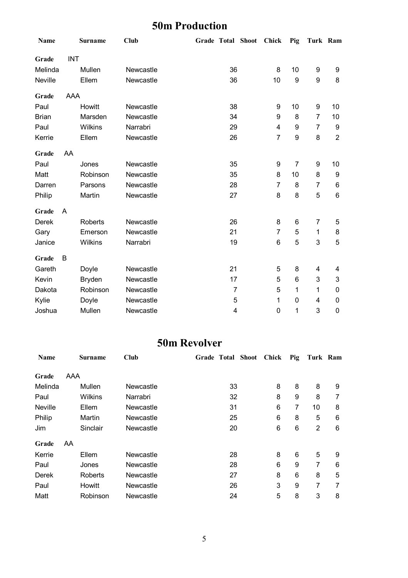## **50m Production**

| Name         |            | <b>Surname</b> | <b>Club</b> | Grade Total Shoot |                | Chick          | Pig | Turk Ram         |                |
|--------------|------------|----------------|-------------|-------------------|----------------|----------------|-----|------------------|----------------|
| Grade        | <b>INT</b> |                |             |                   |                |                |     |                  |                |
| Melinda      |            | Mullen         | Newcastle   |                   | 36             | 8              | 10  | 9                | 9              |
| Neville      |            | Ellem          | Newcastle   |                   | 36             | 10             | 9   | $\boldsymbol{9}$ | 8              |
|              |            |                |             |                   |                |                |     |                  |                |
| Grade        | AAA        |                |             |                   |                |                |     |                  |                |
| Paul         |            | Howitt         | Newcastle   |                   | 38             | 9              | 10  | $\boldsymbol{9}$ | 10             |
| <b>Brian</b> |            | Marsden        | Newcastle   |                   | 34             | 9              | 8   | $\overline{7}$   | 10             |
| Paul         |            | Wilkins        | Narrabri    |                   | 29             | 4              | 9   | $\overline{7}$   | 9              |
| Kerrie       |            | Ellem          | Newcastle   |                   | 26             | $\overline{7}$ | 9   | 8                | $\overline{2}$ |
| Grade        | AA         |                |             |                   |                |                |     |                  |                |
| Paul         |            | Jones          | Newcastle   |                   | 35             | 9              | 7   | 9                | 10             |
| Matt         |            | Robinson       | Newcastle   |                   | 35             | 8              | 10  | 8                | 9              |
| Darren       |            | Parsons        | Newcastle   |                   | 28             | $\overline{7}$ | 8   | $\overline{7}$   | 6              |
| Philip       |            | Martin         | Newcastle   |                   | 27             | 8              | 8   | 5                | 6              |
|              |            |                |             |                   |                |                |     |                  |                |
| Grade        | A          |                |             |                   |                |                |     |                  |                |
| <b>Derek</b> |            | <b>Roberts</b> | Newcastle   |                   | 26             | 8              | 6   | $\overline{7}$   | 5              |
| Gary         |            | Emerson        | Newcastle   |                   | 21             | $\overline{7}$ | 5   | 1                | 8              |
| Janice       |            | Wilkins        | Narrabri    |                   | 19             | 6              | 5   | 3                | 5              |
| Grade        | B          |                |             |                   |                |                |     |                  |                |
| Gareth       |            | Doyle          | Newcastle   |                   | 21             | 5              | 8   | 4                | 4              |
| Kevin        |            | <b>Bryden</b>  | Newcastle   |                   | 17             | 5              | 6   | 3                | 3              |
| Dakota       |            | Robinson       | Newcastle   |                   | $\overline{7}$ | 5              | 1   | 1                | $\mathbf 0$    |
| Kylie        |            | Doyle          | Newcastle   |                   | 5              | 1              | 0   | $\overline{4}$   | 0              |
| Joshua       |            | Mullen         | Newcastle   |                   | 4              | 0              | 1   | 3                | 0              |

### **50m Revolver**

| <b>Name</b> |     | Surname  | Club      | <b>Grade Total Shoot</b> |    | Chick | Pig | Turk Ram |   |
|-------------|-----|----------|-----------|--------------------------|----|-------|-----|----------|---|
| Grade       | AAA |          |           |                          |    |       |     |          |   |
| Melinda     |     | Mullen   | Newcastle |                          | 33 | 8     | 8   | 8        | 9 |
| Paul        |     | Wilkins  | Narrabri  |                          | 32 | 8     | 9   | 8        | 7 |
| Neville     |     | Ellem    | Newcastle |                          | 31 | 6     | 7   | 10       | 8 |
| Philip      |     | Martin   | Newcastle |                          | 25 | 6     | 8   | 5        | 6 |
| Jim         |     | Sinclair | Newcastle |                          | 20 | 6     | 6   | 2        | 6 |
| Grade       | AA  |          |           |                          |    |       |     |          |   |
| Kerrie      |     | Ellem    | Newcastle |                          | 28 | 8     | 6   | 5        | 9 |
| Paul        |     | Jones    | Newcastle |                          | 28 | 6     | 9   | 7        | 6 |
| Derek       |     | Roberts  | Newcastle |                          | 27 | 8     | 6   | 8        | 5 |
| Paul        |     | Howitt   | Newcastle |                          | 26 | 3     | 9   | 7        | 7 |
| Matt        |     | Robinson | Newcastle |                          | 24 | 5     | 8   | 3        | 8 |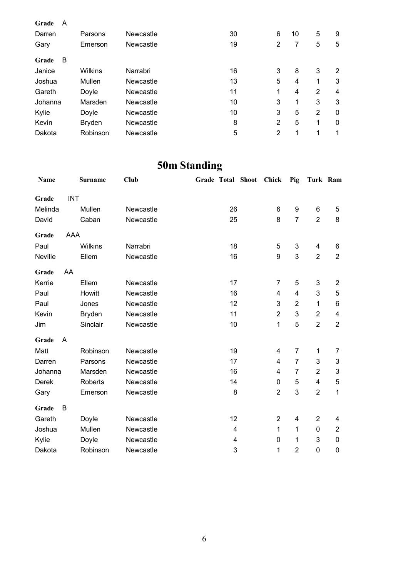| Grade<br>A |               |           |    |                |    |                |                |
|------------|---------------|-----------|----|----------------|----|----------------|----------------|
| Darren     | Parsons       | Newcastle | 30 | 6              | 10 | 5              | 9              |
| Gary       | Emerson       | Newcastle | 19 | $\overline{2}$ | 7  | 5              | 5              |
| B<br>Grade |               |           |    |                |    |                |                |
| Janice     | Wilkins       | Narrabri  | 16 | 3              | 8  | 3              | $\overline{2}$ |
| Joshua     | Mullen        | Newcastle | 13 | 5              | 4  | 1              | 3              |
| Gareth     | Doyle         | Newcastle | 11 | 1              | 4  | 2              | 4              |
| Johanna    | Marsden       | Newcastle | 10 | 3              | 1  | 3              | 3              |
| Kylie      | Doyle         | Newcastle | 10 | 3              | 5  | $\overline{2}$ | 0              |
| Kevin      | <b>Bryden</b> | Newcastle | 8  | $\overline{2}$ | 5  | 1              | 0              |
| Dakota     | Robinson      | Newcastle | 5  | $\overline{2}$ | 1  | 1              | 1              |

## **50m Standing**

| <b>Name</b> |            | <b>Surname</b> | <b>Club</b> |                | Grade Total Shoot | Chick                   | Pig            | Turk Ram       |                           |
|-------------|------------|----------------|-------------|----------------|-------------------|-------------------------|----------------|----------------|---------------------------|
| Grade       | <b>INT</b> |                |             |                |                   |                         |                |                |                           |
| Melinda     |            | Mullen         | Newcastle   | 26             |                   | 6                       | 9              | 6              | 5                         |
| David       |            | Caban          | Newcastle   | 25             |                   | 8                       | $\overline{7}$ | $\overline{2}$ | 8                         |
| Grade       | <b>AAA</b> |                |             |                |                   |                         |                |                |                           |
| Paul        |            | Wilkins        | Narrabri    | 18             |                   | 5                       | 3              | 4              | 6                         |
| Neville     |            | Ellem          | Newcastle   | 16             |                   | 9                       | 3              | $\overline{2}$ | $\overline{2}$            |
| Grade       | AA         |                |             |                |                   |                         |                |                |                           |
| Kerrie      |            | Ellem          | Newcastle   | 17             |                   | $\overline{7}$          | 5              | 3              | $\overline{2}$            |
| Paul        |            | Howitt         | Newcastle   | 16             |                   | 4                       | 4              | 3              | 5                         |
| Paul        |            | Jones          | Newcastle   | 12             |                   | 3                       | $\overline{2}$ | 1              | 6                         |
| Kevin       |            | <b>Bryden</b>  | Newcastle   | 11             |                   | $\overline{2}$          | 3              | $\overline{2}$ | $\overline{\mathbf{4}}$   |
| Jim         |            | Sinclair       | Newcastle   | 10             |                   | 1                       | 5              | $\overline{2}$ | $\overline{2}$            |
| Grade       | A          |                |             |                |                   |                         |                |                |                           |
| Matt        |            | Robinson       | Newcastle   | 19             |                   | $\overline{\mathbf{4}}$ | $\overline{7}$ | $\mathbf 1$    | 7                         |
| Darren      |            | Parsons        | Newcastle   | 17             |                   | 4                       | 7              | 3              | $\ensuremath{\mathsf{3}}$ |
| Johanna     |            | Marsden        | Newcastle   | 16             |                   | 4                       | $\overline{7}$ | $\overline{2}$ | $\ensuremath{\mathsf{3}}$ |
| Derek       |            | Roberts        | Newcastle   | 14             |                   | $\mathbf 0$             | 5              | 4              | $\mathbf 5$               |
| Gary        |            | Emerson        | Newcastle   | 8              |                   | $\overline{2}$          | 3              | $\overline{2}$ | 1                         |
| Grade       | B          |                |             |                |                   |                         |                |                |                           |
| Gareth      |            | Doyle          | Newcastle   | 12             |                   | $\overline{2}$          | 4              | $\overline{2}$ | 4                         |
| Joshua      |            | Mullen         | Newcastle   | $\overline{4}$ |                   | $\mathbf{1}$            | 1              | 0              | $\overline{2}$            |
| Kylie       |            | Doyle          | Newcastle   | 4              |                   | 0                       | 1              | 3              | $\boldsymbol{0}$          |
| Dakota      |            | Robinson       | Newcastle   | 3              |                   | 1                       | $\overline{2}$ | 0              | $\mathbf 0$               |